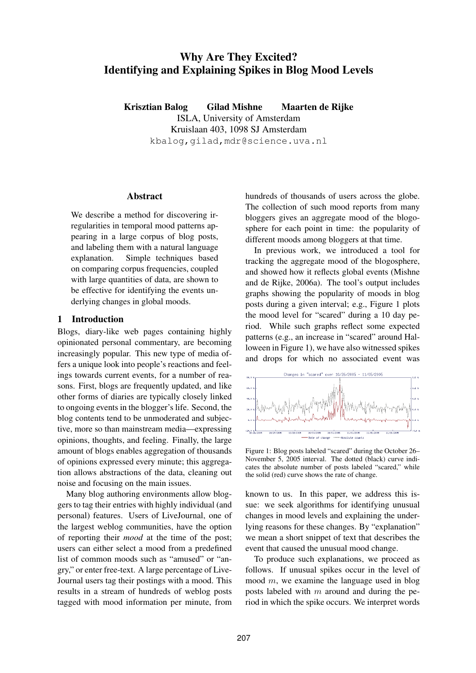# **Why Are They Excited? Identifying and Explaining Spikes in Blog Mood Levels**

**Krisztian Balog Gilad Mishne Maarten de Rijke** ISLA, University of Amsterdam Kruislaan 403, 1098 SJ Amsterdam kbalog,gilad,mdr@science.uva.nl

## **Abstract**

We describe a method for discovering irregularities in temporal mood patterns appearing in a large corpus of blog posts, and labeling them with a natural language explanation. Simple techniques based on comparing corpus frequencies, coupled with large quantities of data, are shown to be effective for identifying the events underlying changes in global moods.

## **1 Introduction**

Blogs, diary-like web pages containing highly opinionated personal commentary, are becoming increasingly popular. This new type of media offers a unique look into people's reactions and feelings towards current events, for a number of reasons. First, blogs are frequently updated, and like other forms of diaries are typically closely linked to ongoing events in the blogger's life. Second, the blog contents tend to be unmoderated and subjective, more so than mainstream media—expressing opinions, thoughts, and feeling. Finally, the large amount of blogs enables aggregation of thousands of opinions expressed every minute; this aggregation allows abstractions of the data, cleaning out noise and focusing on the main issues.

Many blog authoring environments allow bloggers to tag their entries with highly individual (and personal) features. Users of LiveJournal, one of the largest weblog communities, have the option of reporting their *mood* at the time of the post; users can either select a mood from a predefined list of common moods such as "amused" or "angry," or enter free-text. A large percentage of Live-Journal users tag their postings with a mood. This results in a stream of hundreds of weblog posts tagged with mood information per minute, from hundreds of thousands of users across the globe. The collection of such mood reports from many bloggers gives an aggregate mood of the blogosphere for each point in time: the popularity of different moods among bloggers at that time.

In previous work, we introduced a tool for tracking the aggregate mood of the blogosphere, and showed how it reflects global events (Mishne and de Rijke, 2006a). The tool's output includes graphs showing the popularity of moods in blog posts during a given interval; e.g., Figure 1 plots the mood level for "scared" during a 10 day period. While such graphs reflect some expected patterns (e.g., an increase in "scared" around Halloween in Figure 1), we have also witnessed spikes and drops for which no associated event was



Figure 1: Blog posts labeled "scared" during the October 26– November 5, 2005 interval. The dotted (black) curve indicates the absolute number of posts labeled "scared," while the solid (red) curve shows the rate of change.

known to us. In this paper, we address this issue: we seek algorithms for identifying unusual changes in mood levels and explaining the underlying reasons for these changes. By "explanation" we mean a short snippet of text that describes the event that caused the unusual mood change.

To produce such explanations, we proceed as follows. If unusual spikes occur in the level of mood  $m$ , we examine the language used in blog posts labeled with  $m$  around and during the period in which the spike occurs. We interpret words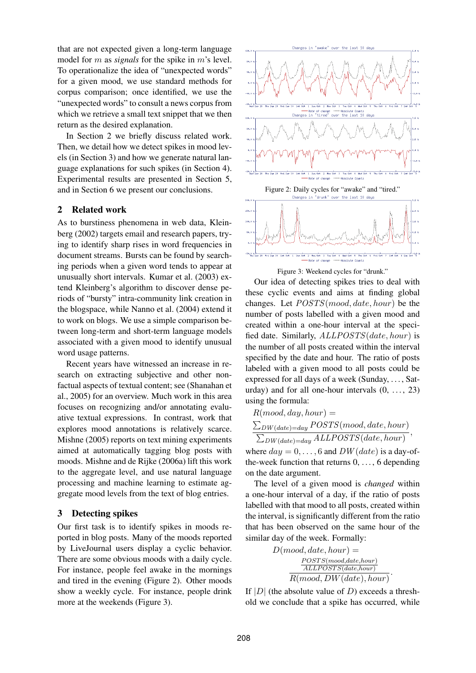that are not expected given a long-term language model for m as *signals* for the spike in m's level. To operationalize the idea of "unexpected words" for a given mood, we use standard methods for corpus comparison; once identified, we use the "unexpected words" to consult a news corpus from which we retrieve a small text snippet that we then return as the desired explanation.

In Section 2 we briefly discuss related work. Then, we detail how we detect spikes in mood levels (in Section 3) and how we generate natural language explanations for such spikes (in Section 4). Experimental results are presented in Section 5, and in Section 6 we present our conclusions.

# **2 Related work**

As to burstiness phenomena in web data, Kleinberg (2002) targets email and research papers, trying to identify sharp rises in word frequencies in document streams. Bursts can be found by searching periods when a given word tends to appear at unusually short intervals. Kumar et al. (2003) extend Kleinberg's algorithm to discover dense periods of "bursty" intra-community link creation in the blogspace, while Nanno et al. (2004) extend it to work on blogs. We use a simple comparison between long-term and short-term language models associated with a given mood to identify unusual word usage patterns.

Recent years have witnessed an increase in research on extracting subjective and other nonfactual aspects of textual content; see (Shanahan et al., 2005) for an overview. Much work in this area focuses on recognizing and/or annotating evaluative textual expressions. In contrast, work that explores mood annotations is relatively scarce. Mishne (2005) reports on text mining experiments aimed at automatically tagging blog posts with moods. Mishne and de Rijke (2006a) lift this work to the aggregate level, and use natural language processing and machine learning to estimate aggregate mood levels from the text of blog entries.

### **3 Detecting spikes**

Our first task is to identify spikes in moods reported in blog posts. Many of the moods reported by LiveJournal users display a cyclic behavior. There are some obvious moods with a daily cycle. For instance, people feel awake in the mornings and tired in the evening (Figure 2). Other moods show a weekly cycle. For instance, people drink more at the weekends (Figure 3).



Figure 2: Daily cycles for "awake" and "tired."<br>Changes in "drunk" over the last 10 days



Figure 3: Weekend cycles for "drunk."

Our idea of detecting spikes tries to deal with these cyclic events and aims at finding global changes. Let POSTS(mood, date, hour) be the number of posts labelled with a given mood and created within a one-hour interval at the specified date. Similarly, ALLPOSTS(date, hour) is the number of all posts created within the interval specified by the date and hour. The ratio of posts labeled with a given mood to all posts could be expressed for all days of a week (Sunday, . . . , Saturday) and for all one-hour intervals  $(0, \ldots, 23)$ using the formula:

 $R(mod, day, hour) =$  $\sum_{DW(data)=day} POSTS(mod, date, hour)$  $\sum_{DW(data)=day} ALLPOSTS(data, hour)$ ,

where  $day = 0, \ldots, 6$  and  $DW(data)$  is a day-ofthe-week function that returns  $0, \ldots, 6$  depending on the date argument.

The level of a given mood is *changed* within a one-hour interval of a day, if the ratio of posts labelled with that mood to all posts, created within the interval, is significantly different from the ratio that has been observed on the same hour of the similar day of the week. Formally:

$$
D(mod, date, hour) = \frac{POSTS(mod, date, hour)}{ALLPOSTS(data, hour)}
$$
  

$$
R(mod, DW(data), hour)
$$

If  $|D|$  (the absolute value of D) exceeds a threshold we conclude that a spike has occurred, while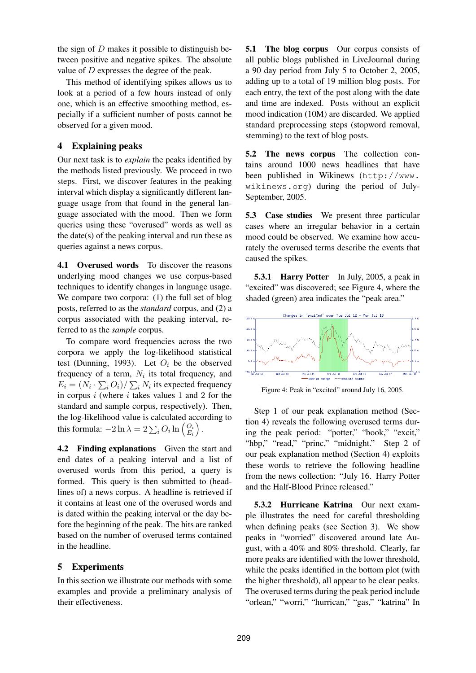the sign of  $D$  makes it possible to distinguish between positive and negative spikes. The absolute value of D expresses the degree of the peak.

This method of identifying spikes allows us to look at a period of a few hours instead of only one, which is an effective smoothing method, especially if a sufficient number of posts cannot be observed for a given mood.

# **4 Explaining peaks**

Our next task is to *explain* the peaks identified by the methods listed previously. We proceed in two steps. First, we discover features in the peaking interval which display a significantly different language usage from that found in the general language associated with the mood. Then we form queries using these "overused" words as well as the date(s) of the peaking interval and run these as queries against a news corpus.

**4.1 Overused words** To discover the reasons underlying mood changes we use corpus-based techniques to identify changes in language usage. We compare two corpora: (1) the full set of blog posts, referred to as the *standard* corpus, and (2) a corpus associated with the peaking interval, referred to as the *sample* corpus.

To compare word frequencies across the two corpora we apply the log-likelihood statistical test (Dunning, 1993). Let  $O_i$  be the observed frequency of a term,  $N_i$  its total frequency, and  $E_i = (N_i \cdot \sum_i O_i) / \sum_i N_i$  its expected frequency in corpus  $i$  (where  $i$  takes values 1 and 2 for the standard and sample corpus, respectively). Then, the log-likelihood value is calculated according to this formula:  $-2 \ln \lambda = 2 \sum_i O_i \ln \left( \frac{O_i}{E_i} \right)$  $\frac{O_i}{E_i}\Big)$  .

**4.2 Finding explanations** Given the start and end dates of a peaking interval and a list of overused words from this period, a query is formed. This query is then submitted to (headlines of) a news corpus. A headline is retrieved if it contains at least one of the overused words and is dated within the peaking interval or the day before the beginning of the peak. The hits are ranked based on the number of overused terms contained in the headline.

## **5 Experiments**

In this section we illustrate our methods with some examples and provide a preliminary analysis of their effectiveness.

**5.1 The blog corpus** Our corpus consists of all public blogs published in LiveJournal during a 90 day period from July 5 to October 2, 2005, adding up to a total of 19 million blog posts. For each entry, the text of the post along with the date and time are indexed. Posts without an explicit mood indication (10M) are discarded. We applied standard preprocessing steps (stopword removal, stemming) to the text of blog posts.

**5.2 The news corpus** The collection contains around 1000 news headlines that have been published in Wikinews (http://www. wikinews.org) during the period of July-September, 2005.

**5.3 Case studies** We present three particular cases where an irregular behavior in a certain mood could be observed. We examine how accurately the overused terms describe the events that caused the spikes.

**5.3.1 Harry Potter** In July, 2005, a peak in "excited" was discovered; see Figure 4, where the shaded (green) area indicates the "peak area."



Figure 4: Peak in "excited" around July 16, 2005.

Step 1 of our peak explanation method (Section 4) reveals the following overused terms during the peak period: "potter," "book," "excit," "hbp," "read," "princ," "midnight." Step 2 of our peak explanation method (Section 4) exploits these words to retrieve the following headline from the news collection: "July 16. Harry Potter and the Half-Blood Prince released."

**5.3.2 Hurricane Katrina** Our next example illustrates the need for careful thresholding when defining peaks (see Section 3). We show peaks in "worried" discovered around late August, with a 40% and 80% threshold. Clearly, far more peaks are identified with the lower threshold, while the peaks identified in the bottom plot (with the higher threshold), all appear to be clear peaks. The overused terms during the peak period include "orlean," "worri," "hurrican," "gas," "katrina" In